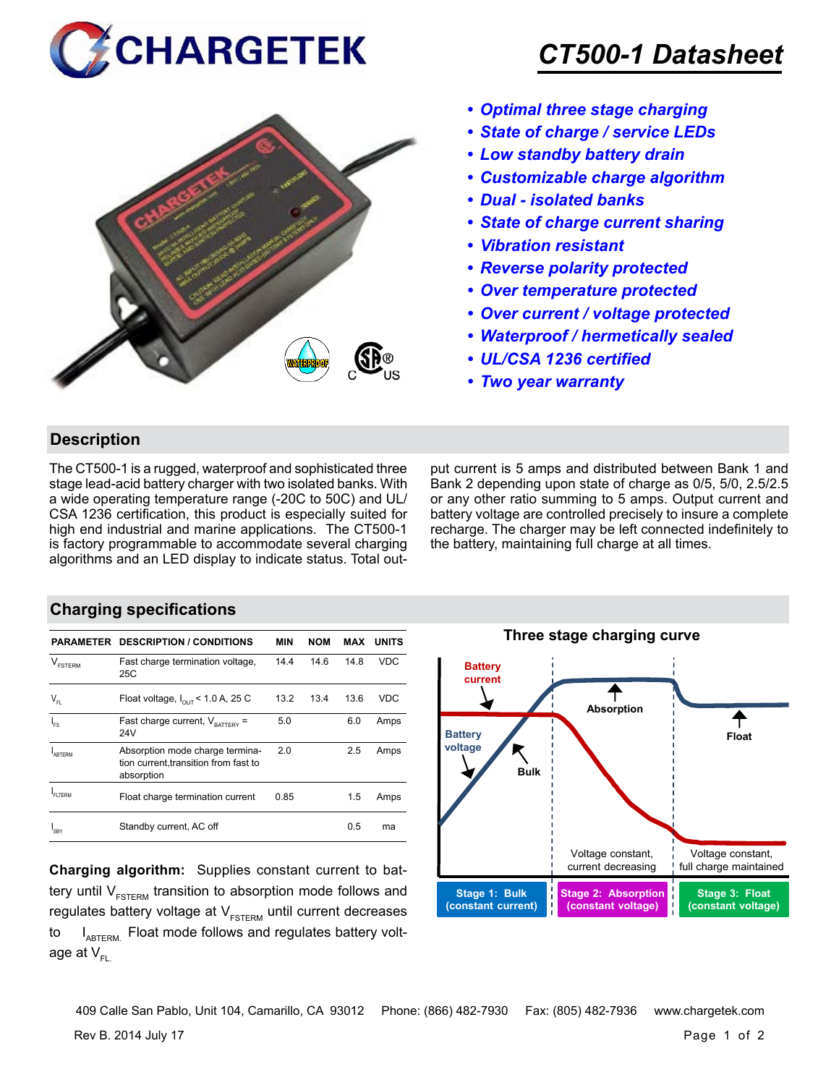



## *CT500-1 Datasheet*

- *• Optimal three stage charging*
- *• State of charge / service LEDs*
- *• Low standby battery drain*
- *• Customizable charge algorithm*
- *• Dual isolated banks*
- *• State of charge current sharing*
- *• Vibration resistant*
- *• Reverse polarity protected*
- *• Over temperature protected*
- *• Over current / voltage protected*
- *• Waterproof / hermetically sealed*
- *• UL/CSA 1236 certified*
- *• Two year warranty*

#### **Description**

The CT500-1 is a rugged, waterproof and sophisticated three stage lead-acid battery charger with two isolated banks. With a wide operating temperature range (-20C to 50C) and UL/ CSA 1236 certification, this product is especially suited for high end industrial and marine applications. The CT500-1 is factory programmable to accommodate several charging algorithms and an LED display to indicate status. Total output current is 5 amps and distributed between Bank 1 and Bank 2 depending upon state of charge as 0/5, 5/0, 2.5/2.5 or any other ratio summing to 5 amps. Output current and battery voltage are controlled precisely to insure a complete recharge. The charger may be left connected indefinitely to the battery, maintaining full charge at all times.

#### **Charging specifications**

| <b>PARAMETER</b>                               | <b>DESCRIPTION / CONDITIONS</b>                                                        | <b>MIN</b> | <b>NOM</b> | <b>MAX</b> | <b>UNITS</b> |
|------------------------------------------------|----------------------------------------------------------------------------------------|------------|------------|------------|--------------|
| $\mathcal{L}$<br><b>FSTERM</b>                 | Fast charge termination voltage,<br>25C                                                | 14.4       | 14.6       | 14.8       | <b>VDC</b>   |
| $\mathsf{V}_{\scriptscriptstyle{\mathsf{FL}}}$ | Float voltage, $I_{\text{out}}$ < 1.0 A, 25 C                                          | 13.2       | 13.4       | 13.6       | VDC          |
| l <sub>FS</sub>                                | Fast charge current, $V_{\text{partrev}}$ =<br>24V                                     | 5.0        |            | 6.0        | Amps         |
| <b>ARTERM</b>                                  | Absorption mode charge termina-<br>tion current, transition from fast to<br>absorption | 2.0        |            | 2.5        | Amps         |
| FI TFRM                                        | Float charge termination current                                                       | 0.85       |            | 1.5        | Amps         |
| 'SBY                                           | Standby current, AC off                                                                |            |            | 0.5        | ma           |

**Charging algorithm:** Supplies constant current to battery until  $V_{ESTERM}$  transition to absorption mode follows and regulates battery voltage at  $V_{ESTFRM}$  until current decreases to  $I_{ABTERM}$ . Float mode follows and regulates battery voltage at  $V_{\text{F}}$ 



Rev B. 2014 July 17 Page 1 of 2 409 Calle San Pablo, Unit 104, Camarillo, CA 93012 Phone: (866) 482-7930 Fax: (805) 482-7936 www.chargetek.com